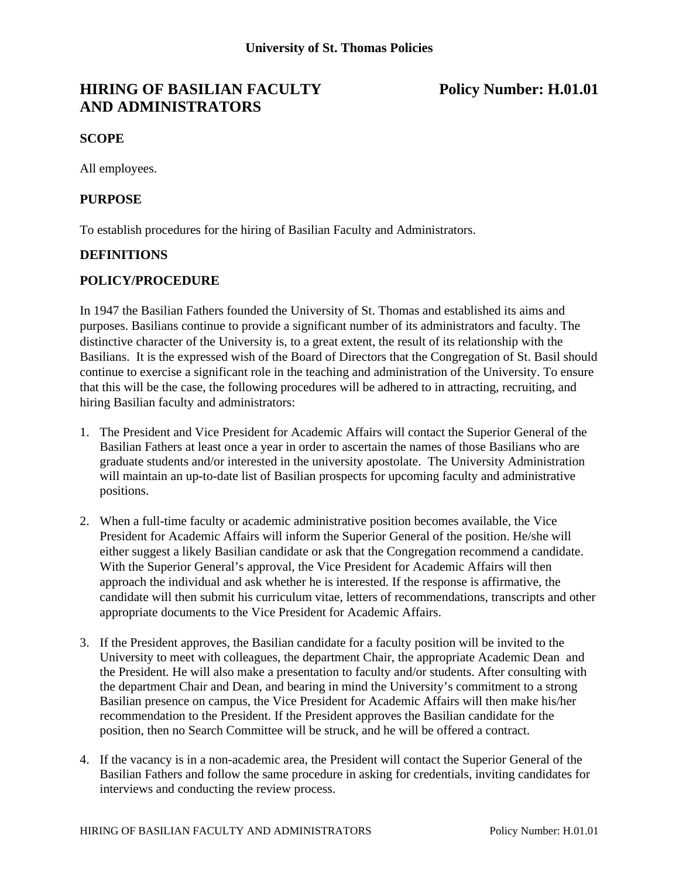# **HIRING OF BASILIAN FACULTY** Policy Number: H.01.01 **AND ADMINISTRATORS**

### **SCOPE**

All employees.

#### **PURPOSE**

To establish procedures for the hiring of Basilian Faculty and Administrators.

#### **DEFINITIONS**

#### **POLICY/PROCEDURE**

In 1947 the Basilian Fathers founded the University of St. Thomas and established its aims and purposes. Basilians continue to provide a significant number of its administrators and faculty. The distinctive character of the University is, to a great extent, the result of its relationship with the Basilians. It is the expressed wish of the Board of Directors that the Congregation of St. Basil should continue to exercise a significant role in the teaching and administration of the University. To ensure that this will be the case, the following procedures will be adhered to in attracting, recruiting, and hiring Basilian faculty and administrators:

- 1. The President and Vice President for Academic Affairs will contact the Superior General of the Basilian Fathers at least once a year in order to ascertain the names of those Basilians who are graduate students and/or interested in the university apostolate. The University Administration will maintain an up-to-date list of Basilian prospects for upcoming faculty and administrative positions.
- 2. When a full-time faculty or academic administrative position becomes available, the Vice President for Academic Affairs will inform the Superior General of the position. He/she will either suggest a likely Basilian candidate or ask that the Congregation recommend a candidate. With the Superior General's approval, the Vice President for Academic Affairs will then approach the individual and ask whether he is interested. If the response is affirmative, the candidate will then submit his curriculum vitae, letters of recommendations, transcripts and other appropriate documents to the Vice President for Academic Affairs.
- 3. If the President approves, the Basilian candidate for a faculty position will be invited to the University to meet with colleagues, the department Chair, the appropriate Academic Dean and the President. He will also make a presentation to faculty and/or students. After consulting with the department Chair and Dean, and bearing in mind the University's commitment to a strong Basilian presence on campus, the Vice President for Academic Affairs will then make his/her recommendation to the President. If the President approves the Basilian candidate for the position, then no Search Committee will be struck, and he will be offered a contract.
- 4. If the vacancy is in a non-academic area, the President will contact the Superior General of the Basilian Fathers and follow the same procedure in asking for credentials, inviting candidates for interviews and conducting the review process.